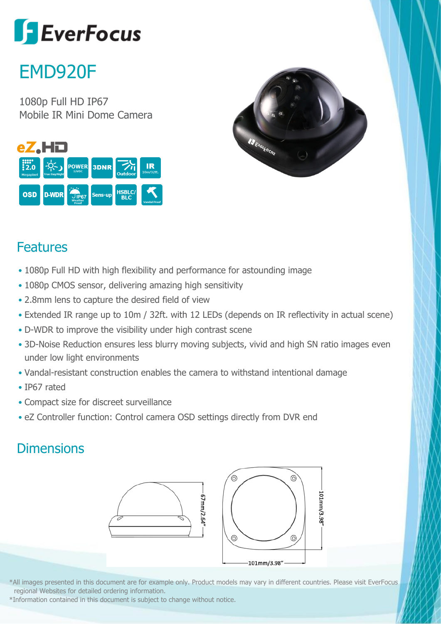# **SEverFocus**

## EMD920F

1080p Full HD IP67 Mobile IR Mini Dome Camera





### Features

- 1080p Full HD with high flexibility and performance for astounding image
- 1080p CMOS sensor, delivering amazing high sensitivity
- 2.8mm lens to capture the desired field of view
- Extended IR range up to 10m / 32ft. with 12 LEDs (depends on IR reflectivity in actual scene)
- D-WDR to improve the visibility under high contrast scene
- 3D-Noise Reduction ensures less blurry moving subjects, vivid and high SN ratio images even under low light environments
- Vandal-resistant construction enables the camera to withstand intentional damage
- IP67 rated
- Compact size for discreet surveillance
- eZ Controller function: Control camera OSD settings directly from DVR end

#### **Dimensions**



\*All images presented in this document are for example only. Product models may vary in different countries. Please visit EverFocus regional Websites for detailed ordering information.

\*Information contained in this document is subject to change without notice.